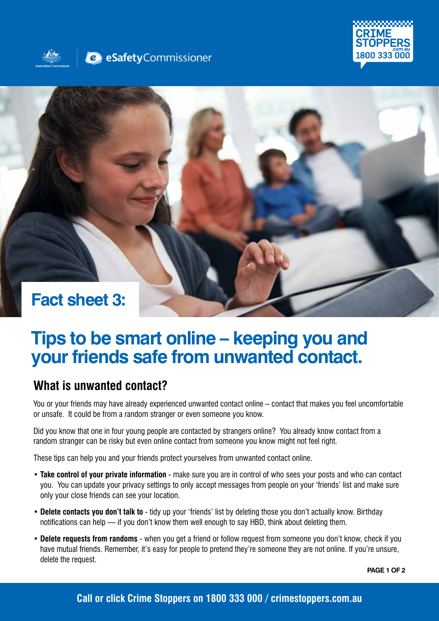





# **Tips to be smart online – keeping you and your friends safe from unwanted contact.**

#### **What is unwanted contact?**

You or your friends may have already experienced unwanted contact online – contact that makes you feel uncomfortable or unsafe. It could be from a random stranger or even someone you know.

Did you know that one in four young people are contacted by strangers online? You already know contact from a random stranger can be risky but even online contact from someone you know might not feel right.

These tips can help you and your friends protect yourselves from unwanted contact online.

- **Take control of your private information** make sure you are in control of who sees your posts and who can contact you. You can update your privacy settings to only accept messages from people on your 'friends' list and make sure only your close friends can see your location.
- **Delete contacts you don't talk to** tidy up your 'friends' list by deleting those you don't actually know. Birthday notifications can help — if you don't know them well enough to say HBD, think about deleting them.
- **Delete requests from randoms** when you get a friend or follow request from someone you don't know, check if you have mutual friends. Remember, it's easy for people to pretend they're someone they are not online. If you're unsure, delete the request.